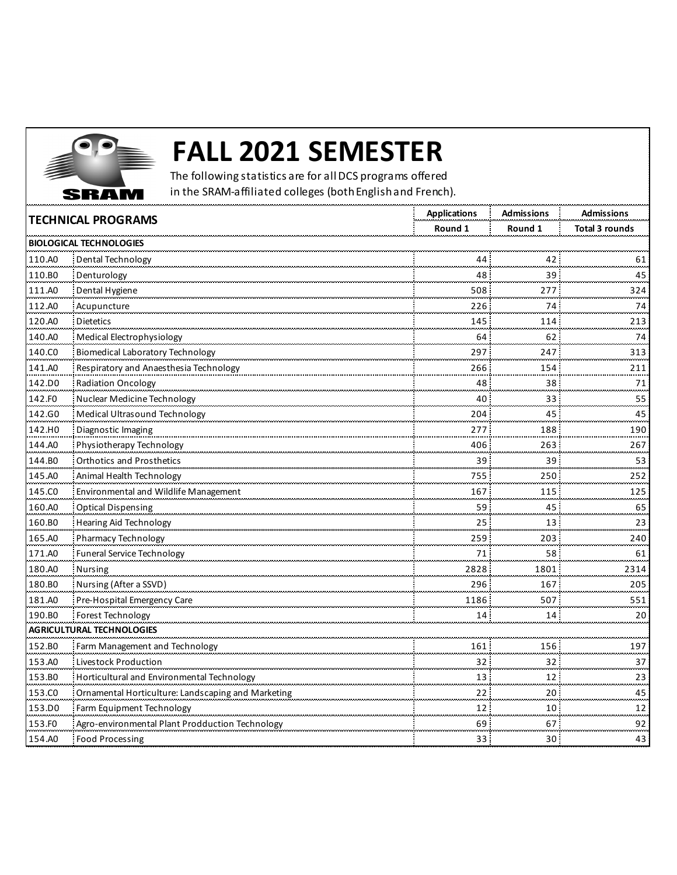

## **FALL 2021 SEMESTER**

The following statistics are for all DCS programs offered in the SRAM-affiliated colleges (both English and French).

| <b>TECHNICAL PROGRAMS</b> |                                                    | <b>Applications</b> | <b>Admissions</b> | <b>Admissions</b>     |
|---------------------------|----------------------------------------------------|---------------------|-------------------|-----------------------|
|                           |                                                    | Round 1             | Round 1           | <b>Total 3 rounds</b> |
|                           | <b>BIOLOGICAL TECHNOLOGIES</b>                     |                     |                   |                       |
| 110.AO                    | Dental Technology                                  | 44                  | 42                | 61<br>سيس             |
| 110.BO                    | Denturology                                        | 48                  | 39                | 45                    |
| 111.A0                    | Dental Hygiene                                     | 508                 | 277               | 324                   |
| 112.AO                    | Acupuncture                                        | 226                 | 74                | 74<br>سأس             |
| 120.A0                    | Dietetics                                          | 145                 | 114               | 213                   |
| 140.A0                    | Medical Electrophysiology                          | 64                  | 62                | 74                    |
| 140.CO                    | <b>Biomedical Laboratory Technology</b>            | 297                 | 247               | 313                   |
| 141.A0                    | Respiratory and Anaesthesia Technology             | 266                 | 154               | 211                   |
| 142.DO                    | <b>Radiation Oncology</b>                          | 48.                 | 38                | 71                    |
| 142.FO                    | Nuclear Medicine Technology                        | 40                  | 33                | 55                    |
| 142.GO                    | Medical Ultrasound Technology                      | 204                 | 45                | 45                    |
| 142.HO                    | Diagnostic Imaging                                 | 277                 | 188               | 190                   |
| 144.AO                    | Physiotherapy Technology                           | 406                 | 263               | 267                   |
| 144.BO                    | <b>Orthotics and Prosthetics</b>                   | 39                  | 39                | 53                    |
| 145.A0                    | Animal Health Technology                           | 755                 | 250               | 252                   |
| 145.CO                    | Environmental and Wildlife Management              | 167                 | 115               | 125<br>               |
| 160.A0                    | <b>Optical Dispensing</b>                          | 59                  | 45                | 65                    |
| 160.BO                    | Hearing Aid Technology                             | 25                  | 13                | 23                    |
| 165.A0                    | Pharmacy Technology                                | 259                 | 203               | 240                   |
| 171.A0                    | <b>Funeral Service Technology</b>                  | 71                  | 58                | 61                    |
| 180.A0                    | <b>Nursing</b>                                     | 2828                | 1801              | 2314                  |
| 180.BO                    | Nursing (After a SSVD)                             | 296                 | 167               | 205                   |
| 181.A0                    | Pre-Hospital Emergency Care                        | 1186                | 507               | 551                   |
| 190.BO                    | Forest Technology                                  | 14                  | 14                | 20                    |
|                           | AGRICULTURAL TECHNOLOGIES                          |                     |                   | .                     |
| 152.BO                    | Farm Management and Technology                     | 161                 | 156               | 197                   |
| 153.AO                    | Livestock Production                               | 32.                 | 32                | 37                    |
| 153.BO                    | Horticultural and Environmental Technology         | 13                  | 12                | 23<br>ووجدوه          |
| 153.CO                    | Ornamental Horticulture: Landscaping and Marketing | 22:                 | 20 <sub>1</sub>   | 45                    |
| 153.DO                    | Farm Equipment Technology                          | 12                  | 10                | $\frac{12}{1}$        |
| 153.FO                    | Agro-environmental Plant Prodduction Technology    | 69                  | 67                | 92                    |
| 154.A0                    | Food Processing                                    | 33 <sup>2</sup>     | 30 <sup>1</sup>   | 43                    |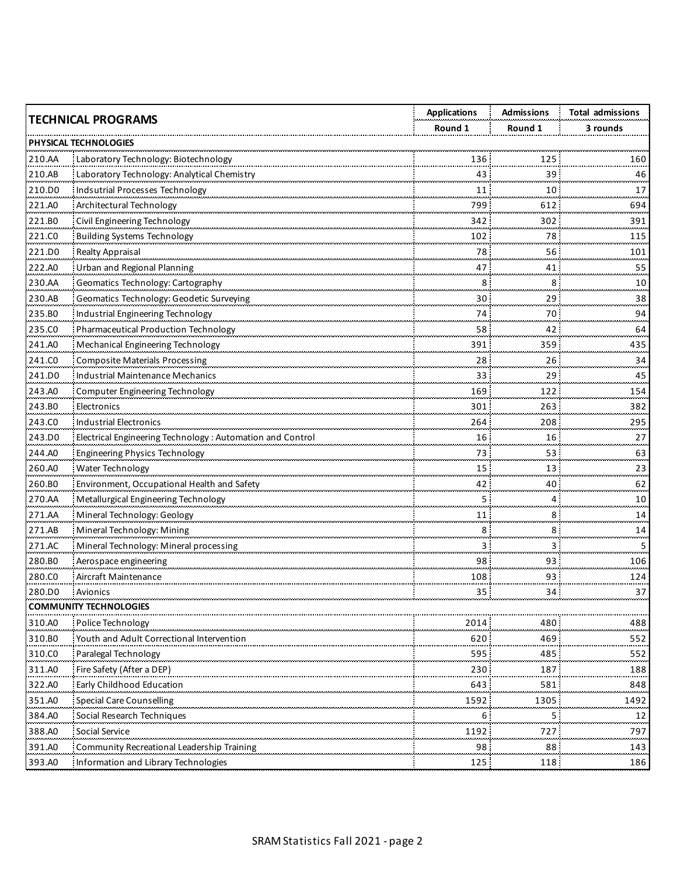| <b>TECHNICAL PROGRAMS</b>     |                                                           | <b>Applications</b> | <b>Admissions</b> | <b>Total admissions</b> |
|-------------------------------|-----------------------------------------------------------|---------------------|-------------------|-------------------------|
|                               |                                                           | Round 1             | Round 1           | 3 rounds                |
|                               | <b>PHYSICAL TECHNOLOGIES</b>                              |                     |                   |                         |
| 210.AA                        | Laboratory Technology: Biotechnology                      | 136                 | 125               | 160                     |
| 210.AB                        | Laboratory Technology: Analytical Chemistry               | 43                  | 39                | 46                      |
| 210.DO                        | Indsutrial Processes Technology                           | 11                  | 10                | 17<br>ومحامله           |
| 221.A0                        | <b>Architectural Technology</b>                           | 799                 | 612               | 694                     |
| 221.BO                        | Civil Engineering Technology                              | 342                 | 302               | 391                     |
| 221.CO                        | <b>Building Systems Technology</b>                        | 102                 | 78                | 115<br>ومحمده           |
| 221.DO                        | <b>Realty Appraisal</b>                                   | 78                  | 56                | 101                     |
| 222.AO                        | Urban and Regional Planning                               | 47                  | 41                | 55                      |
| 230.AA                        | Geomatics Technology: Cartography                         | 8                   | 8                 | 10<br>ومحامر            |
| 230.AB                        | Geomatics Technology: Geodetic Surveying                  | 30                  | 29                | 38                      |
| 235.BO                        | Industrial Engineering Technology                         | 74                  | 70                | 94                      |
| 235.CO                        | Pharmaceutical Production Technology                      | 58                  | 42                | 64                      |
| 241.A0                        | Mechanical Engineering Technology                         | 391                 | 359               | 435                     |
| 241.CO                        | Composite Materials Processing                            | 28                  | 26                | 34                      |
| 241.DO                        | Industrial Maintenance Mechanics                          | 33                  | 29                | 45<br>ومحمد             |
| 243.A0                        | Computer Engineering Technology                           | 169                 | 122               | 154                     |
| 243.BO                        | Electronics                                               | 301                 | 263               | 382                     |
| 243.CO                        | Industrial Electronics                                    | 264                 | 208               | 295<br>لمحمد            |
| 243.DO                        | Electrical Engineering Technology: Automation and Control | 16                  | 16                | 27                      |
| 244.AO                        | Engineering Physics Technology                            | 73                  | 53                | 63                      |
| 260.AO                        | Water Technology                                          | 15                  | 13                | 23<br>ومعالم            |
| 260.BO                        | Environment, Occupational Health and Safety               | 42                  | 40                | 62                      |
| 270.AA                        | Metallurgical Engineering Technology                      |                     | 4                 | 10                      |
| 271.AA                        | Mineral Technology: Geology                               | 11                  | 8                 | 14                      |
| 271.AB                        | Mineral Technology: Mining                                | 8                   | 8                 | 14                      |
| 271.AC                        | Mineral Technology: Mineral processing                    | 3                   | З                 | 5.                      |
| 280.BO                        | Aerospace engineering                                     | 98                  | 93                | 106                     |
| 280.CO                        | Aircraft Maintenance                                      | 108                 | 93                | 124                     |
| 280.DO                        | Avionics                                                  | 35:                 | 34                | 37                      |
| <b>COMMUNITY TECHNOLOGIES</b> |                                                           |                     |                   |                         |
| 310.A0                        | Police Technology                                         | 2014                | 480               | 488                     |
| 310.BO                        | Youth and Adult Correctional Interventior                 | 620                 | 469               | 552                     |
| 310.CO                        | Paralegal Technology                                      | 595                 | 485               | 552                     |
| 311.AO                        | Fire Safety (After a DEP)                                 | 230                 | 187               | 188                     |
| 322.AO                        | Early Childhood Education                                 | 643                 | 581               | 848                     |
| 351.AO                        | <b>Special Care Counselling</b>                           | 1592                | 1305              | 1492                    |
| 384.A0                        | Social Research Techniques                                | 6                   | 5                 | 12<br>                  |
| 388.AO                        | Social Service                                            | 1192                | 727               | 797                     |
| 391.AO                        | Community Recreational Leadership Training                | 98                  | 88                | 143                     |
| 393.AO                        | Information and Library Technologies                      | 125.                | 118               | 186                     |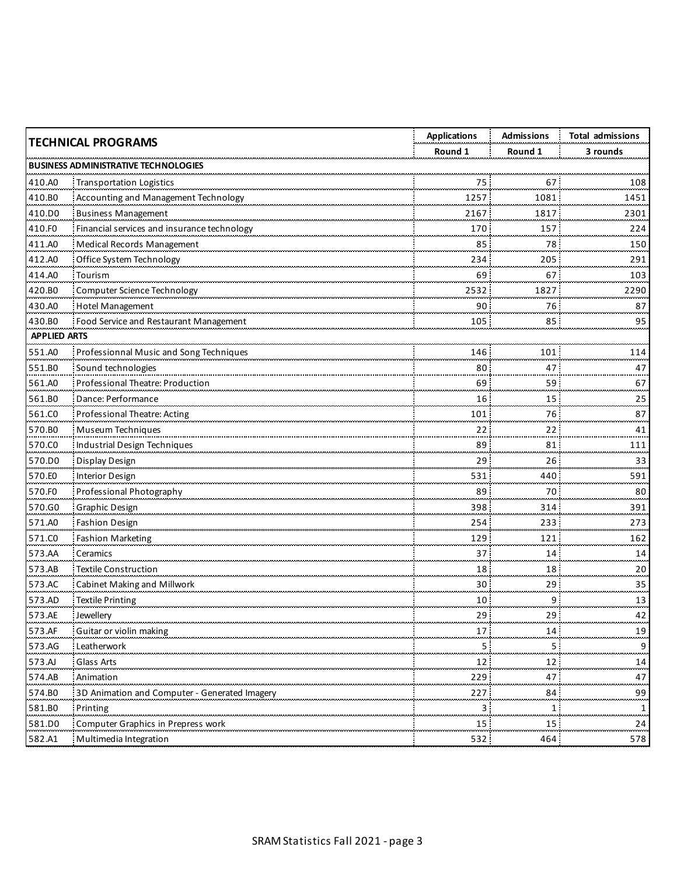| <b>TECHNICAL PROGRAMS</b> |                                               | <b>Applications</b> | <b>Admissions</b> | <b>Total admissions</b> |
|---------------------------|-----------------------------------------------|---------------------|-------------------|-------------------------|
|                           |                                               | Round 1             | Round 1           | 3 rounds                |
|                           | <b>BUSINESS ADMINISTRATIVE TECHNOLOGIES</b>   |                     |                   |                         |
| 410.A0                    | <b>Transportation Logistics</b>               | 75:                 | 67                | 108                     |
| 410.BO                    | Accounting and Management Technology          | 1257                | 1081              | 1451                    |
| 410.DO                    | <b>Business Management</b>                    | 2167                | 1817              | 2301                    |
| 410.FO                    | Financial services and insurance technology   | 170                 | 157               | 224                     |
| 411.AO                    | Medical Records Management                    | 85                  | 78                | 150                     |
| 412.AO                    | Office System Technology                      | 234                 | 205               | 291<br>محددهم           |
| 414.A0                    | Tourism                                       | 69                  | 67                | 103                     |
| 420.BO                    | Computer Science Technology                   | 2532                | 1827              | 2290                    |
| 430.AO                    | Hotel Management                              | 90                  | 76                | 87                      |
| 430.BO                    | Food Service and Restaurant Management        | 105                 | 85                | 95                      |
| <b>APPLIED ARTS</b>       |                                               |                     |                   |                         |
| 551.A0                    | Professionnal Music and Song Techniques       | 146                 | 101               | 114                     |
| 551.BO                    | Sound technologies                            | 80:                 | 47                | 47                      |
| 561.A0                    | Professional Theatre: Production              | 69                  | 59                | 67                      |
| 561.BO                    | Dance: Performance                            | 16                  | 15                | 25                      |
| 561.CO                    | Professional Theatre: Acting                  | 101                 | 76                | 87                      |
| 570.BO                    | Museum Techniques                             | 22                  | 22                | 41                      |
| 570.CO                    | Industrial Design Techniques                  | 89                  | 81                | 111<br>بعديت            |
| 570.DO                    | Display Design                                | 29                  | 26                | 33                      |
| 570.EO                    | Interior Design                               | 531                 | 440               | 591                     |
| 570.FO                    | Professional Photography                      | 89                  | 70                | 80<br>بالمحادث          |
| 570.G0                    | Graphic Design                                | 398                 | 314               | 391                     |
| 571.AO                    | Fashion Design                                | 254                 | 233               | 273                     |
| 571.CO                    | <b>Fashion Marketing</b>                      | 129                 | 121               | 162                     |
| 573.AA                    | Ceramics                                      | 37                  | 14                | 14<br>مسدد              |
| 573.AB                    | <b>Textile Construction</b>                   | 18                  | 18                | 20                      |
| 573.AC                    | Cabinet Making and Millwork                   | 30                  | 29                | 35                      |
| 573.AD                    | <b>Textile Printing</b>                       | 10                  | 9                 | 13<br>بيبين             |
| 573.AE                    | Jewellery                                     | 29:                 | 29                | 42                      |
| 573.AF                    | Guitar or violin making                       | 17                  | 14                | 19                      |
| 573.AG                    | Leatherwork                                   | 5                   |                   | 9                       |
| 573.A                     | Glass Arts                                    | 12                  | 12                | 14                      |
| 574.AB                    | Animation                                     | 229                 | 47                | 47                      |
| 574.BO                    | 3D Animation and Computer - Generated Imagery | 227                 | 84                | 99                      |
| 581.BO                    | Printing                                      |                     | 1                 | 1                       |
| 581.D0                    | Computer Graphics in Prepress work            | 15                  | 15                | 24                      |
| 582.A1                    | Multimedia Integration                        | 532                 | 464               | 578                     |